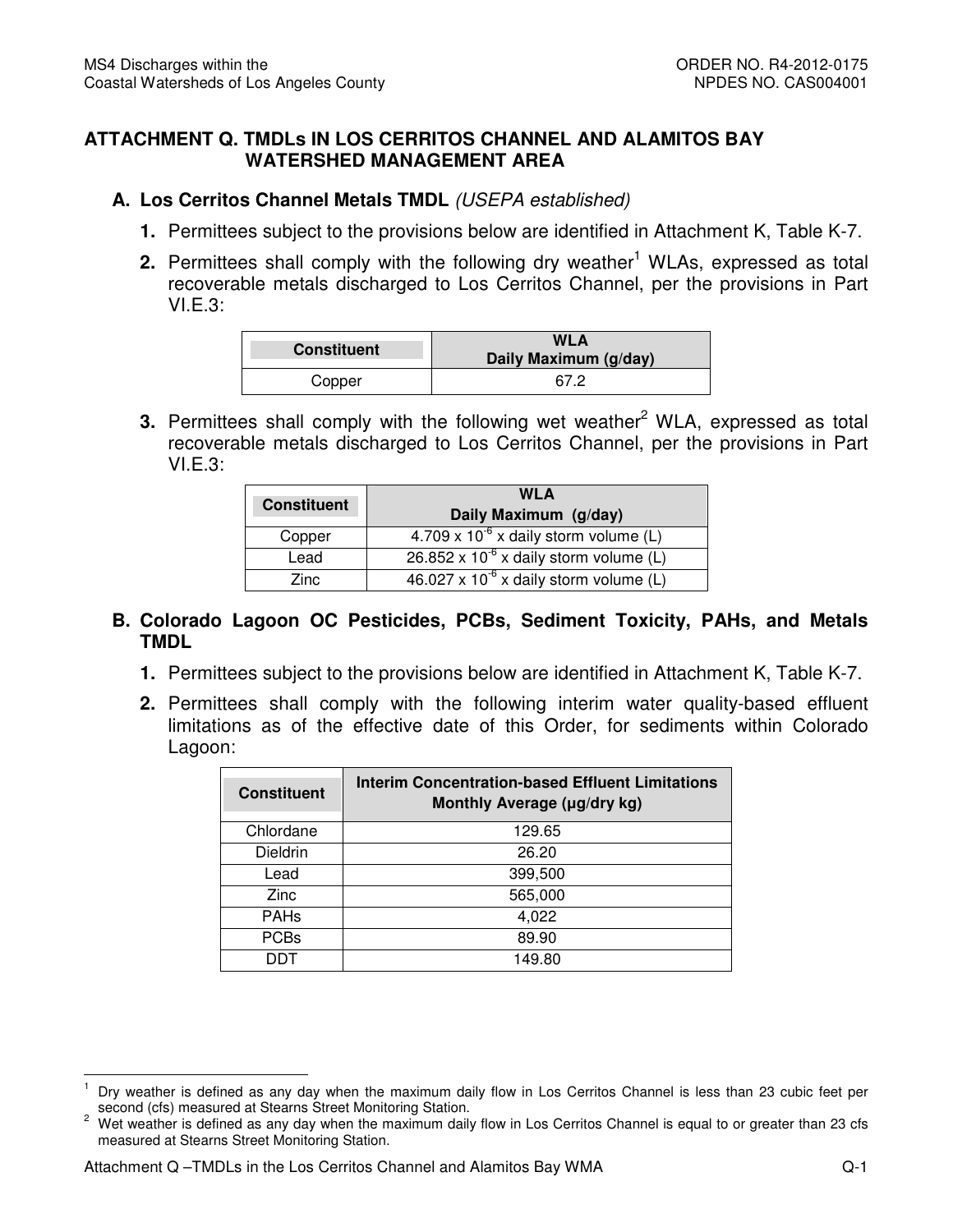## **ATTACHMENT Q. TMDLs IN LOS CERRITOS CHANNEL AND ALAMITOS BAY WATERSHED MANAGEMENT AREA**

## **A. Los Cerritos Channel Metals TMDL** (USEPA established)

- **1.** Permittees subject to the provisions below are identified in Attachment K, Table K-7.
- **2.** Permittees shall comply with the following dry weather<sup>1</sup> WLAs, expressed as total recoverable metals discharged to Los Cerritos Channel, per the provisions in Part VI.E.3:

| <b>Constituent</b> | WLA<br>Daily Maximum (g/day) |  |
|--------------------|------------------------------|--|
| Copper             | 67 2                         |  |

**3.** Permittees shall comply with the following wet weather<sup>2</sup> WLA, expressed as total recoverable metals discharged to Los Cerritos Channel, per the provisions in Part VI.E.3:

|                    | <b>WLA</b>                                       |  |  |
|--------------------|--------------------------------------------------|--|--|
| <b>Constituent</b> | Daily Maximum (g/day)                            |  |  |
| Copper             | $4.709 \times 10^{-6}$ x daily storm volume (L)  |  |  |
| Lead               | $26.852 \times 10^{-6}$ x daily storm volume (L) |  |  |
| Zinc.              | $46.027 \times 10^{-6}$ x daily storm volume (L) |  |  |

## **B. Colorado Lagoon OC Pesticides, PCBs, Sediment Toxicity, PAHs, and Metals TMDL**

- **TMDL**<br>1. Permittees subject to the provisions below are identified in Attachment K, Table K-7.
- **2.** Permittees shall comply with the following interim water quality-based effluent limitations as of the effective date of this Order, for sediments within Colorado Lagoon:

| <b>Constituent</b> | <b>Interim Concentration-based Effluent Limitations</b><br>Monthly Average (µg/dry kg) |  |  |  |
|--------------------|----------------------------------------------------------------------------------------|--|--|--|
| Chlordane          | 129.65                                                                                 |  |  |  |
| Dieldrin           | 26.20                                                                                  |  |  |  |
| Lead               | 399,500                                                                                |  |  |  |
| Zinc               | 565,000                                                                                |  |  |  |
| <b>PAHs</b>        | 4,022                                                                                  |  |  |  |
| <b>PCBs</b>        | 89.90                                                                                  |  |  |  |
| דחח                | 149.80                                                                                 |  |  |  |

 $\overline{1}$  second (cfs) measured at Stearns Street Monitoring Station. Dry weather is defined as any day when the maximum daily flow in Los Cerritos Channel is less than 23 cubic feet per

 $\overline{c}$  measured at Stearns Street Monitoring Station. 2 Wet weather is defined as any day when the maximum daily flow in Los Cerritos Channel is equal to or greater than 23 cfs